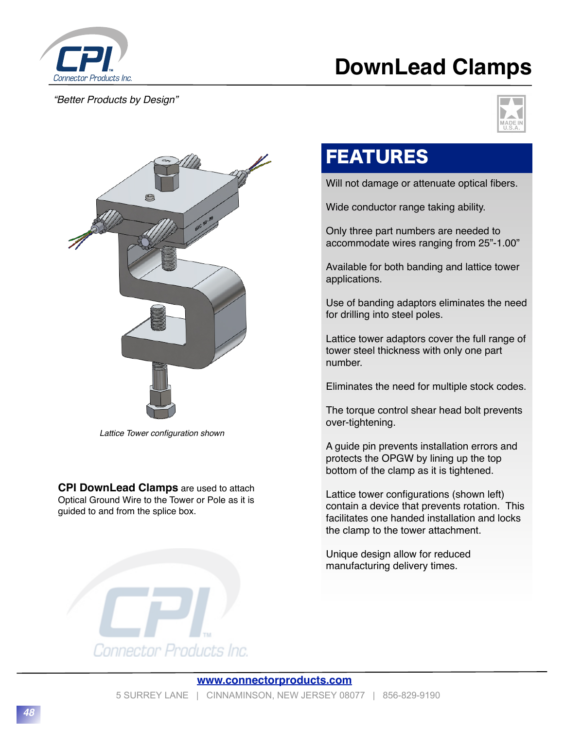

## *"Better Products by Design"*

## **DownLead Clamps**





*Lattice Tower configuration shown*

**CPI DownLead Clamps** are used to attach Optical Ground Wire to the Tower or Pole as it is guided to and from the splice box.

## FEATURES

Will not damage or attenuate optical fibers.

Wide conductor range taking ability.

Only three part numbers are needed to accommodate wires ranging from 25"-1.00"

Available for both banding and lattice tower applications.

Use of banding adaptors eliminates the need for drilling into steel poles.

Lattice tower adaptors cover the full range of tower steel thickness with only one part number.

Eliminates the need for multiple stock codes.

The torque control shear head bolt prevents over-tightening.

A guide pin prevents installation errors and protects the OPGW by lining up the top bottom of the clamp as it is tightened.

Lattice tower configurations (shown left) contain a device that prevents rotation. This facilitates one handed installation and locks the clamp to the tower attachment.

Unique design allow for reduced manufacturing delivery times.